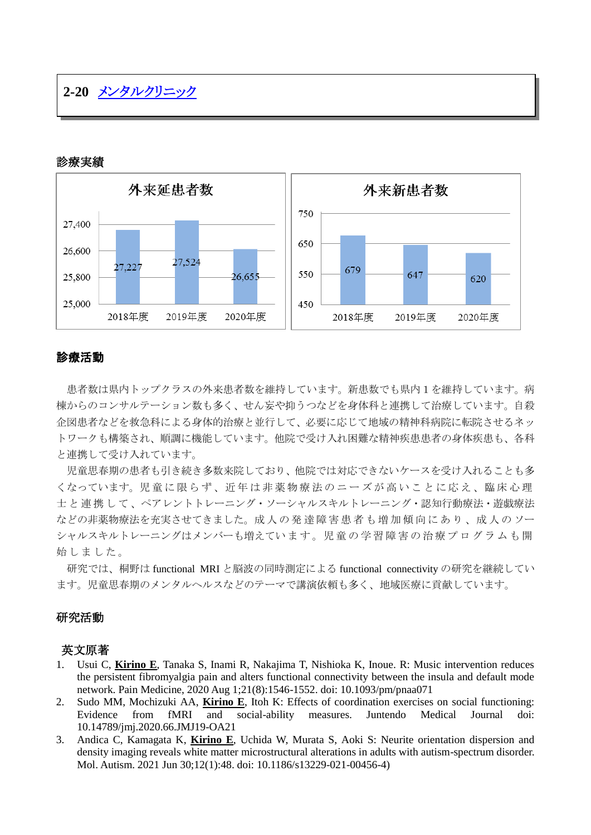# **2-20** [メンタルクリニック](http://www.hosp-shizuoka.juntendo.ac.jp/consult/departments/mental.html)

# 診療実績



### 診療活動

患者数は県内トップクラスの外来患者数を維持しています。新患数でも県内1を維持しています。病 棟からのコンサルテーション数も多く、せん妄や抑うつなどを身体科と連携して治療しています。自殺 企図患者などを救急科による身体的治療と並行して、必要に応じて地域の精神科病院に転院させるネッ トワークも構築され、順調に機能しています。他院で受け入れ困難な精神疾患患者の身体疾患も、各科 と連携して受け入れています。

児童思春期の患者も引き続き多数来院しており、他院では対応できないケースを受け入れることも多 くなっています。児 童 に 限 ら ず 、近 年 は 非 薬 物 療 法 の ニ ー ズ が 高 い こ と に 応 え 、臨 床 心 理 士と連携して、ペアレントトレーニング・ソーシャルスキルトレーニング・認知行動療法・遊戯療法 などの非薬物療法を充実させてきました。成 人 の 発 達 障 害 患 者 も 増 加 傾 向 に あ り 、成 人 の ソー シャルスキルトレーニングはメンバーも増えてい ます。児 童 の 学 習 障 害 の 治 療 プ ロ グ ラ ム も 開 始しました。

研究では、桐野は functional MRI と脳波の同時測定による functional connectivity の研究を継続してい ます。児童思春期のメンタルヘルスなどのテーマで講演依頼も多く、地域医療に貢献しています。

### 研究活動

### 英文原著

- 1. Usui C, **Kirino E**, Tanaka S, Inami R, Nakajima T, Nishioka K, Inoue. R: Music intervention reduces the persistent fibromyalgia pain and alters functional connectivity between the insula and default mode network. Pain Medicine, 2020 Aug 1;21(8):1546-1552. doi: 10.1093/pm/pnaa071
- 2. Sudo MM, Mochizuki AA, **Kirino E**, Itoh K: Effects of coordination exercises on social functioning: Evidence from fMRI and social-ability measures. Juntendo Medical Journal doi: 10.14789/jmj.2020.66.JMJ19-OA21
- 3. Andica C, Kamagata K, **Kirino E**, Uchida W, Murata S, Aoki S: Neurite orientation dispersion and density imaging reveals white matter microstructural alterations in adults with autism-spectrum disorder. Mol. Autism. 2021 Jun 30;12(1):48. doi: 10.1186/s13229-021-00456-4)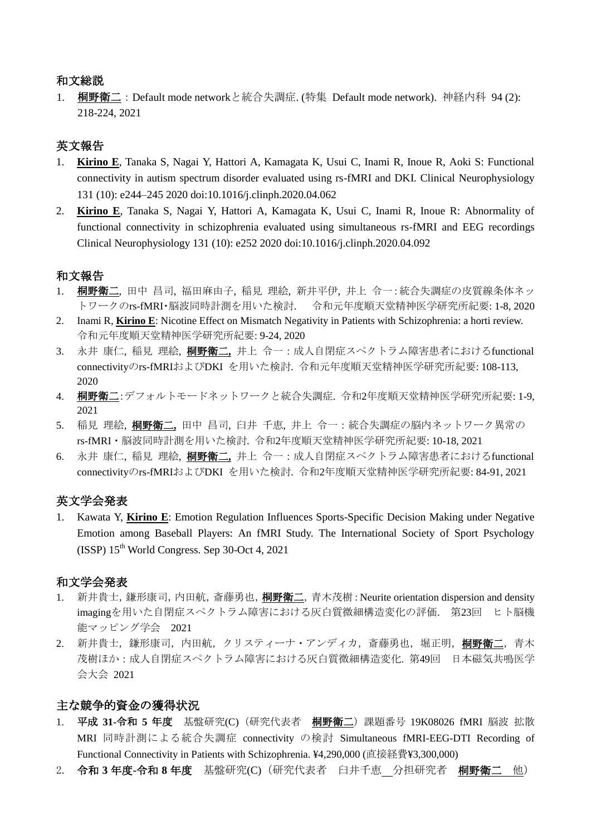# 和文総説

1. 桐野衛二:Default mode networkと統合失調症. (特集 Default mode network). 神経内科 94 (2): 218-224, 2021

# 英文報告

- 1. **Kirino E**, Tanaka S, Nagai Y, Hattori A, Kamagata K, Usui C, Inami R, Inoue R, Aoki S: Functional connectivity in autism spectrum disorder evaluated using rs-fMRI and DKI. Clinical Neurophysiology 131 (10): e244–245 2020 doi:10.1016/j.clinph.2020.04.062
- 2. **Kirino E**, Tanaka S, Nagai Y, Hattori A, Kamagata K, Usui C, Inami R, Inoue R: Abnormality of functional connectivity in schizophrenia evaluated using simultaneous rs-fMRI and EEG recordings Clinical Neurophysiology 131 (10): e252 2020 doi:10.1016/j.clinph.2020.04.092

## 和文報告

- 1. 桐野衛二,田中昌司,福田麻由子,稲見理絵,新井平伊,井上令一:統合失調症の皮質線条体ネッ トワークのrs-fMRI・脳波同時計測を用いた検討. 令和元年度順天堂精神医学研究所紀要: 1-8, 2020
- 2. Inami R, **Kirino E**: Nicotine Effect on Mismatch Negativity in Patients with Schizophrenia: a horti review. 令和元年度順天堂精神医学研究所紀要: 9-24, 2020
- 3. 永井 康仁, 稲見 理絵, 桐野衛二**,** 井上 令一:成人自閉症スペクトラム障害患者におけるfunctional connectivityのrs-fMRIおよびDKI を用いた検討. 令和元年度順天堂精神医学研究所紀要: 108-113, 2020
- 4. 桐野衛二:デフォルトモードネットワークと統合失調症. 令和2年度順天堂精神医学研究所紀要: 1-9, 2021
- 5. 稲見 理絵, 桐野衛二**,** 田中 昌司, 臼井 千恵, 井上 令一:統合失調症の脳内ネットワーク異常の rs-fMRI・脳波同時計測を用いた検討. 令和2年度順天堂精神医学研究所紀要: 10-18, 2021
- 6. 永井 康仁, 稲見 理絵, 桐野衛二**,** 井上 令一:成人自閉症スペクトラム障害患者におけるfunctional connectivityのrs-fMRIおよびDKI を用いた検討. 令和2年度順天堂精神医学研究所紀要: 84-91, 2021

## 英文学会発表

1. Kawata Y, **Kirino E**: Emotion Regulation Influences Sports-Specific Decision Making under Negative Emotion among Baseball Players: An fMRI Study. The International Society of Sport Psychology  $(ISSP) 15<sup>th</sup> World Congress. Sep 30-Oct 4, 2021$ 

### 和文学会発表

- 1. 新井貴士, 鎌形康司, 内田航, 斎藤勇也, 桐野衛二, 青木茂樹: Neurite orientation dispersion and density imagingを用いた自閉症スペクトラム障害における灰白質微細構造変化の評価. 第23回 ヒト脳機 能マッピング学会 2021
- 2. 新井貴士, 鎌形康司, 内田航, クリスティーナ・アンディカ, 斎藤勇也, 堀正明, 桐野衛二, 青木 茂樹ほか:成人自閉症スペクトラム障害における灰白質微細構造変化. 第49回 日本磁気共鳴医学 会大会 2021

## 主な競争的資金の獲得状況

- 1. 平成 **31-**令和 **5** 年度 基盤研究(C)(研究代表者 桐野衛二)課題番号 19K08026 [fM](https://nrid.nii.ac.jp/external/1000090276460/?lid=KAKENHI-PROJECT-15K01855&mode=kaken-d)RI 脳波 拡散 MRI 同時計測による統合失調症 connectivity の検討 Simultaneous fMRI-EEG-DTI Recording of Functional Connectivity in Patients with Schizophrenia. ¥4,290,000 (直接経費¥3,300,000)
- 2. 令和 **3** 年度**-**令和 **8** 年度 基盤研究(C)(研究代表者 臼井千恵 分担研究者 桐野衛二 他)